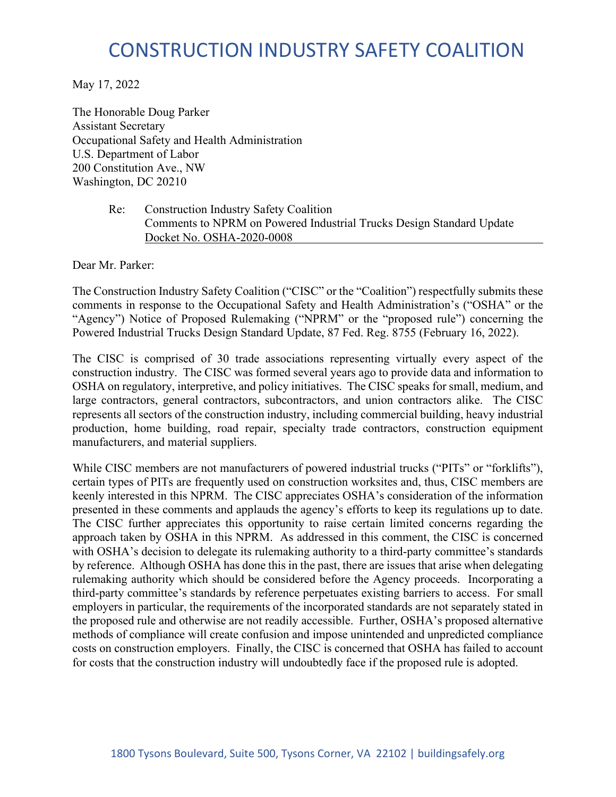# CONSTRUCTION INDUSTRY SAFETY COALITION

May 17, 2022

The Honorable Doug Parker Assistant Secretary Occupational Safety and Health Administration U.S. Department of Labor 200 Constitution Ave., NW Washington, DC 20210

#### Re: Construction Industry Safety Coalition Comments to NPRM on Powered Industrial Trucks Design Standard Update Docket No. OSHA-2020-0008

Dear Mr. Parker:

The Construction Industry Safety Coalition ("CISC" or the "Coalition") respectfully submits these comments in response to the Occupational Safety and Health Administration's ("OSHA" or the "Agency") Notice of Proposed Rulemaking ("NPRM" or the "proposed rule") concerning the Powered Industrial Trucks Design Standard Update, 87 Fed. Reg. 8755 (February 16, 2022).

The CISC is comprised of 30 trade associations representing virtually every aspect of the construction industry. The CISC was formed several years ago to provide data and information to OSHA on regulatory, interpretive, and policy initiatives. The CISC speaks for small, medium, and large contractors, general contractors, subcontractors, and union contractors alike. The CISC represents all sectors of the construction industry, including commercial building, heavy industrial production, home building, road repair, specialty trade contractors, construction equipment manufacturers, and material suppliers.

While CISC members are not manufacturers of powered industrial trucks ("PITs" or "forklifts"), certain types of PITs are frequently used on construction worksites and, thus, CISC members are keenly interested in this NPRM. The CISC appreciates OSHA's consideration of the information presented in these comments and applauds the agency's efforts to keep its regulations up to date. The CISC further appreciates this opportunity to raise certain limited concerns regarding the approach taken by OSHA in this NPRM. As addressed in this comment, the CISC is concerned with OSHA's decision to delegate its rulemaking authority to a third-party committee's standards by reference. Although OSHA has done this in the past, there are issues that arise when delegating rulemaking authority which should be considered before the Agency proceeds. Incorporating a third-party committee's standards by reference perpetuates existing barriers to access. For small employers in particular, the requirements of the incorporated standards are not separately stated in the proposed rule and otherwise are not readily accessible. Further, OSHA's proposed alternative methods of compliance will create confusion and impose unintended and unpredicted compliance costs on construction employers. Finally, the CISC is concerned that OSHA has failed to account for costs that the construction industry will undoubtedly face if the proposed rule is adopted.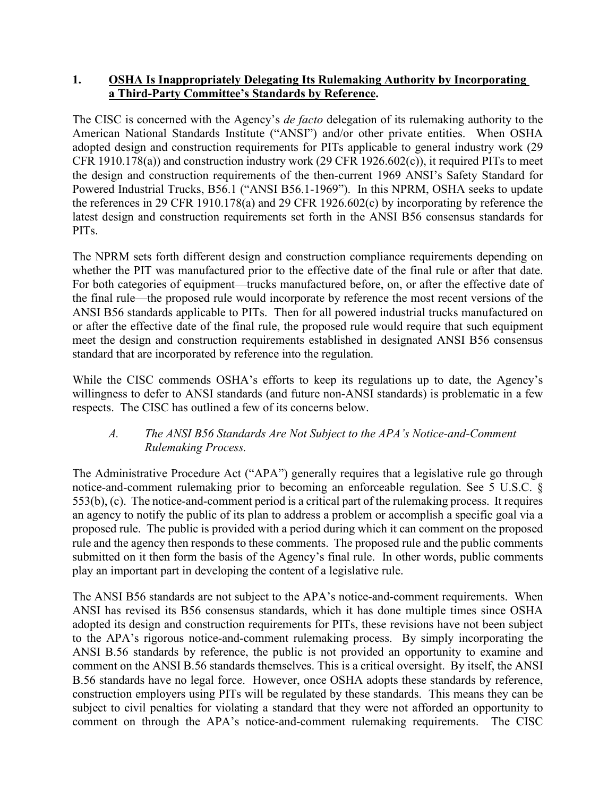## **1. OSHA Is Inappropriately Delegating Its Rulemaking Authority by Incorporating a Third-Party Committee's Standards by Reference.**

The CISC is concerned with the Agency's *de facto* delegation of its rulemaking authority to the American National Standards Institute ("ANSI") and/or other private entities. When OSHA adopted design and construction requirements for PITs applicable to general industry work (29 CFR 1910.178(a)) and construction industry work (29 CFR 1926.602(c)), it required PITs to meet the design and construction requirements of the then-current 1969 ANSI's Safety Standard for Powered Industrial Trucks, B56.1 ("ANSI B56.1-1969"). In this NPRM, OSHA seeks to update the references in 29 CFR 1910.178(a) and 29 CFR 1926.602(c) by incorporating by reference the latest design and construction requirements set forth in the ANSI B56 consensus standards for PITs.

The NPRM sets forth different design and construction compliance requirements depending on whether the PIT was manufactured prior to the effective date of the final rule or after that date. For both categories of equipment—trucks manufactured before, on, or after the effective date of the final rule—the proposed rule would incorporate by reference the most recent versions of the ANSI B56 standards applicable to PITs. Then for all powered industrial trucks manufactured on or after the effective date of the final rule, the proposed rule would require that such equipment meet the design and construction requirements established in designated ANSI B56 consensus standard that are incorporated by reference into the regulation.

While the CISC commends OSHA's efforts to keep its regulations up to date, the Agency's willingness to defer to ANSI standards (and future non-ANSI standards) is problematic in a few respects. The CISC has outlined a few of its concerns below.

# *A. The ANSI B56 Standards Are Not Subject to the APA's Notice-and-Comment Rulemaking Process.*

The Administrative Procedure Act ("APA") generally requires that a legislative rule go through notice-and-comment rulemaking prior to becoming an enforceable regulation. See 5 U.S.C. § 553(b), (c). The notice-and-comment period is a critical part of the rulemaking process. It requires an agency to notify the public of its plan to address a problem or accomplish a specific goal via a proposed rule. The public is provided with a period during which it can comment on the proposed rule and the agency then responds to these comments. The proposed rule and the public comments submitted on it then form the basis of the Agency's final rule. In other words, public comments play an important part in developing the content of a legislative rule.

The ANSI B56 standards are not subject to the APA's notice-and-comment requirements. When ANSI has revised its B56 consensus standards, which it has done multiple times since OSHA adopted its design and construction requirements for PITs, these revisions have not been subject to the APA's rigorous notice-and-comment rulemaking process. By simply incorporating the ANSI B.56 standards by reference, the public is not provided an opportunity to examine and comment on the ANSI B.56 standards themselves. This is a critical oversight. By itself, the ANSI B.56 standards have no legal force. However, once OSHA adopts these standards by reference, construction employers using PITs will be regulated by these standards. This means they can be subject to civil penalties for violating a standard that they were not afforded an opportunity to comment on through the APA's notice-and-comment rulemaking requirements. The CISC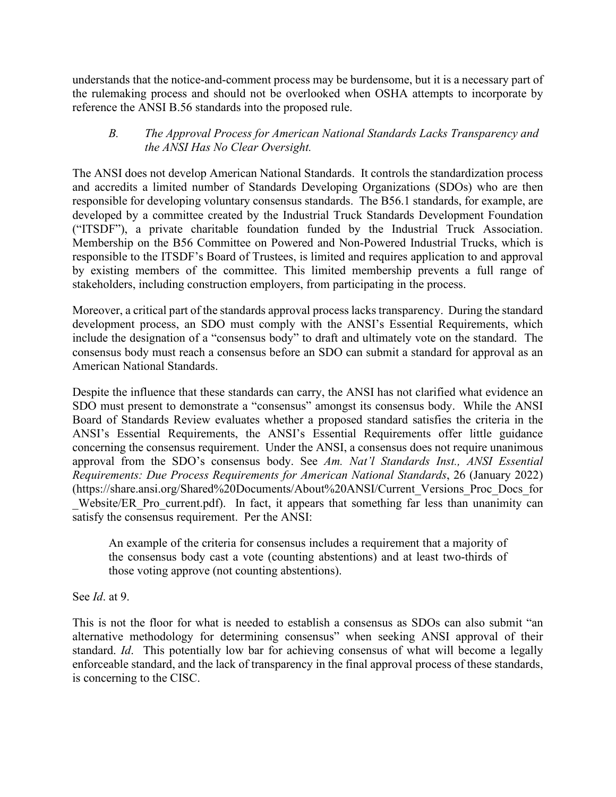understands that the notice-and-comment process may be burdensome, but it is a necessary part of the rulemaking process and should not be overlooked when OSHA attempts to incorporate by reference the ANSI B.56 standards into the proposed rule.

### *B. The Approval Process for American National Standards Lacks Transparency and the ANSI Has No Clear Oversight.*

The ANSI does not develop American National Standards. It controls the standardization process and accredits a limited number of Standards Developing Organizations (SDOs) who are then responsible for developing voluntary consensus standards. The B56.1 standards, for example, are developed by a committee created by the Industrial Truck Standards Development Foundation ("ITSDF"), a private charitable foundation funded by the Industrial Truck Association. Membership on the B56 Committee on Powered and Non-Powered Industrial Trucks, which is responsible to the ITSDF's Board of Trustees, is limited and requires application to and approval by existing members of the committee. This limited membership prevents a full range of stakeholders, including construction employers, from participating in the process.

Moreover, a critical part of the standards approval process lacks transparency. During the standard development process, an SDO must comply with the ANSI's Essential Requirements, which include the designation of a "consensus body" to draft and ultimately vote on the standard. The consensus body must reach a consensus before an SDO can submit a standard for approval as an American National Standards.

Despite the influence that these standards can carry, the ANSI has not clarified what evidence an SDO must present to demonstrate a "consensus" amongst its consensus body. While the ANSI Board of Standards Review evaluates whether a proposed standard satisfies the criteria in the ANSI's Essential Requirements, the ANSI's Essential Requirements offer little guidance concerning the consensus requirement. Under the ANSI, a consensus does not require unanimous approval from the SDO's consensus body. See *Am. Nat'l Standards Inst., ANSI Essential Requirements: Due Process Requirements for American National Standards*, 26 (January 2022) (https://share.ansi.org/Shared%20Documents/About%20ANSI/Current\_Versions\_Proc\_Docs\_for Website/ER Pro current.pdf). In fact, it appears that something far less than unanimity can satisfy the consensus requirement. Per the ANSI:

An example of the criteria for consensus includes a requirement that a majority of the consensus body cast a vote (counting abstentions) and at least two-thirds of those voting approve (not counting abstentions).

See *Id*. at 9.

This is not the floor for what is needed to establish a consensus as SDOs can also submit "an alternative methodology for determining consensus" when seeking ANSI approval of their standard. *Id*. This potentially low bar for achieving consensus of what will become a legally enforceable standard, and the lack of transparency in the final approval process of these standards, is concerning to the CISC.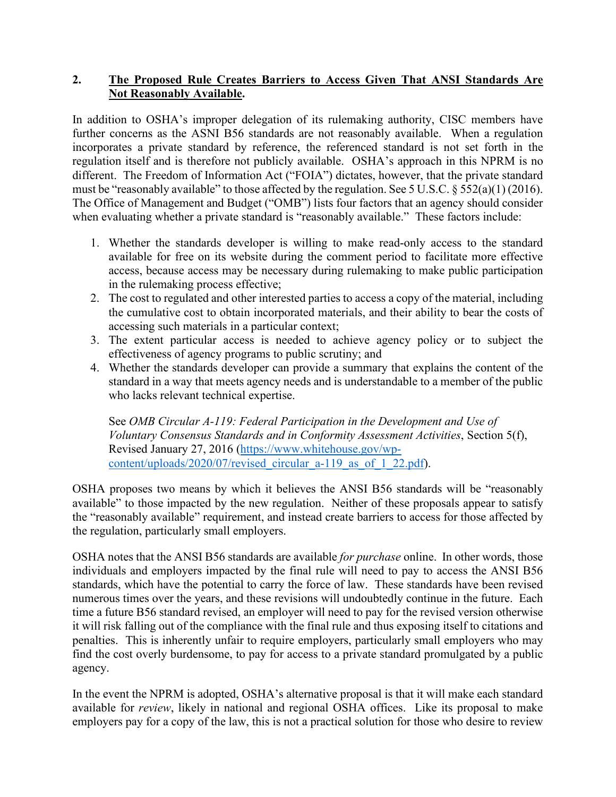# **2. The Proposed Rule Creates Barriers to Access Given That ANSI Standards Are Not Reasonably Available.**

In addition to OSHA's improper delegation of its rulemaking authority, CISC members have further concerns as the ASNI B56 standards are not reasonably available. When a regulation incorporates a private standard by reference, the referenced standard is not set forth in the regulation itself and is therefore not publicly available. OSHA's approach in this NPRM is no different. The Freedom of Information Act ("FOIA") dictates, however, that the private standard must be "reasonably available" to those affected by the regulation. See 5 U.S.C. § 552(a)(1) (2016). The Office of Management and Budget ("OMB") lists four factors that an agency should consider when evaluating whether a private standard is "reasonably available." These factors include:

- 1. Whether the standards developer is willing to make read-only access to the standard available for free on its website during the comment period to facilitate more effective access, because access may be necessary during rulemaking to make public participation in the rulemaking process effective;
- 2. The cost to regulated and other interested parties to access a copy of the material, including the cumulative cost to obtain incorporated materials, and their ability to bear the costs of accessing such materials in a particular context;
- 3. The extent particular access is needed to achieve agency policy or to subject the effectiveness of agency programs to public scrutiny; and
- 4. Whether the standards developer can provide a summary that explains the content of the standard in a way that meets agency needs and is understandable to a member of the public who lacks relevant technical expertise.

See *OMB Circular A-119: Federal Participation in the Development and Use of Voluntary Consensus Standards and in Conformity Assessment Activities*, Section 5(f), Revised January 27, 2016 [\(https://www.whitehouse.gov/wp](https://www.whitehouse.gov/wp-content/uploads/2020/07/revised_circular_a-119_as_of_1_22.pdf)[content/uploads/2020/07/revised\\_circular\\_a-119\\_as\\_of\\_1\\_22.pdf\)](https://www.whitehouse.gov/wp-content/uploads/2020/07/revised_circular_a-119_as_of_1_22.pdf).

OSHA proposes two means by which it believes the ANSI B56 standards will be "reasonably available" to those impacted by the new regulation. Neither of these proposals appear to satisfy the "reasonably available" requirement, and instead create barriers to access for those affected by the regulation, particularly small employers.

OSHA notes that the ANSI B56 standards are available *for purchase* online. In other words, those individuals and employers impacted by the final rule will need to pay to access the ANSI B56 standards, which have the potential to carry the force of law. These standards have been revised numerous times over the years, and these revisions will undoubtedly continue in the future. Each time a future B56 standard revised, an employer will need to pay for the revised version otherwise it will risk falling out of the compliance with the final rule and thus exposing itself to citations and penalties. This is inherently unfair to require employers, particularly small employers who may find the cost overly burdensome, to pay for access to a private standard promulgated by a public agency.

In the event the NPRM is adopted, OSHA's alternative proposal is that it will make each standard available for *review*, likely in national and regional OSHA offices. Like its proposal to make employers pay for a copy of the law, this is not a practical solution for those who desire to review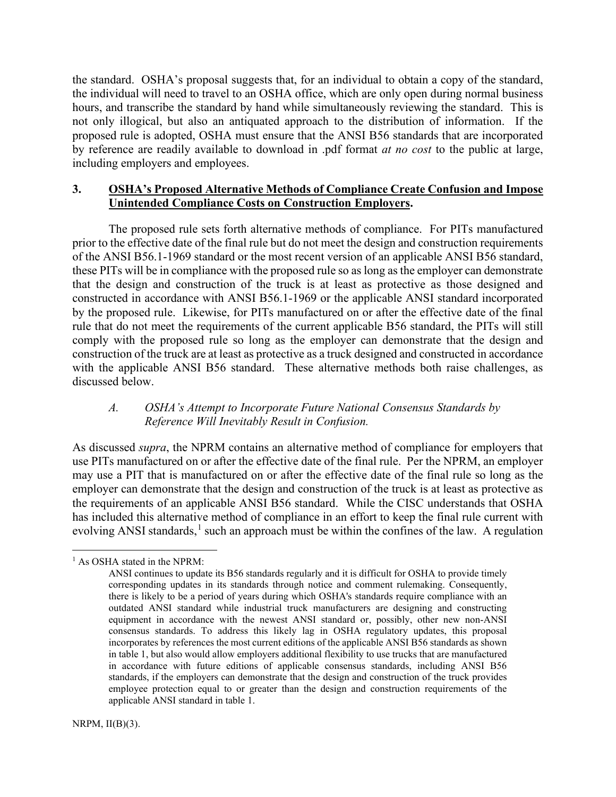the standard. OSHA's proposal suggests that, for an individual to obtain a copy of the standard, the individual will need to travel to an OSHA office, which are only open during normal business hours, and transcribe the standard by hand while simultaneously reviewing the standard. This is not only illogical, but also an antiquated approach to the distribution of information. If the proposed rule is adopted, OSHA must ensure that the ANSI B56 standards that are incorporated by reference are readily available to download in .pdf format *at no cost* to the public at large, including employers and employees.

#### **3. OSHA's Proposed Alternative Methods of Compliance Create Confusion and Impose Unintended Compliance Costs on Construction Employers.**

The proposed rule sets forth alternative methods of compliance. For PITs manufactured prior to the effective date of the final rule but do not meet the design and construction requirements of the ANSI B56.1-1969 standard or the most recent version of an applicable ANSI B56 standard, these PITs will be in compliance with the proposed rule so as long as the employer can demonstrate that the design and construction of the truck is at least as protective as those designed and constructed in accordance with ANSI B56.1-1969 or the applicable ANSI standard incorporated by the proposed rule. Likewise, for PITs manufactured on or after the effective date of the final rule that do not meet the requirements of the current applicable B56 standard, the PITs will still comply with the proposed rule so long as the employer can demonstrate that the design and construction of the truck are at least as protective as a truck designed and constructed in accordance with the applicable ANSI B56 standard. These alternative methods both raise challenges, as discussed below.

# *A. OSHA's Attempt to Incorporate Future National Consensus Standards by Reference Will Inevitably Result in Confusion.*

As discussed *supra*, the NPRM contains an alternative method of compliance for employers that use PITs manufactured on or after the effective date of the final rule. Per the NPRM, an employer may use a PIT that is manufactured on or after the effective date of the final rule so long as the employer can demonstrate that the design and construction of the truck is at least as protective as the requirements of an applicable ANSI B56 standard. While the CISC understands that OSHA has included this alternative method of compliance in an effort to keep the final rule current with evolving ANSI standards, $<sup>1</sup>$  $<sup>1</sup>$  $<sup>1</sup>$  such an approach must be within the confines of the law. A regulation</sup>

<span id="page-4-0"></span><sup>&</sup>lt;sup>1</sup> As OSHA stated in the NPRM:

ANSI continues to update its B56 standards regularly and it is difficult for OSHA to provide timely corresponding updates in its standards through notice and comment rulemaking. Consequently, there is likely to be a period of years during which OSHA's standards require compliance with an outdated ANSI standard while industrial truck manufacturers are designing and constructing equipment in accordance with the newest ANSI standard or, possibly, other new non-ANSI consensus standards. To address this likely lag in OSHA regulatory updates, this proposal incorporates by references the most current editions of the applicable ANSI B56 standards as shown in table 1, but also would allow employers additional flexibility to use trucks that are manufactured in accordance with future editions of applicable consensus standards, including ANSI B56 standards, if the employers can demonstrate that the design and construction of the truck provides employee protection equal to or greater than the design and construction requirements of the applicable ANSI standard in table 1.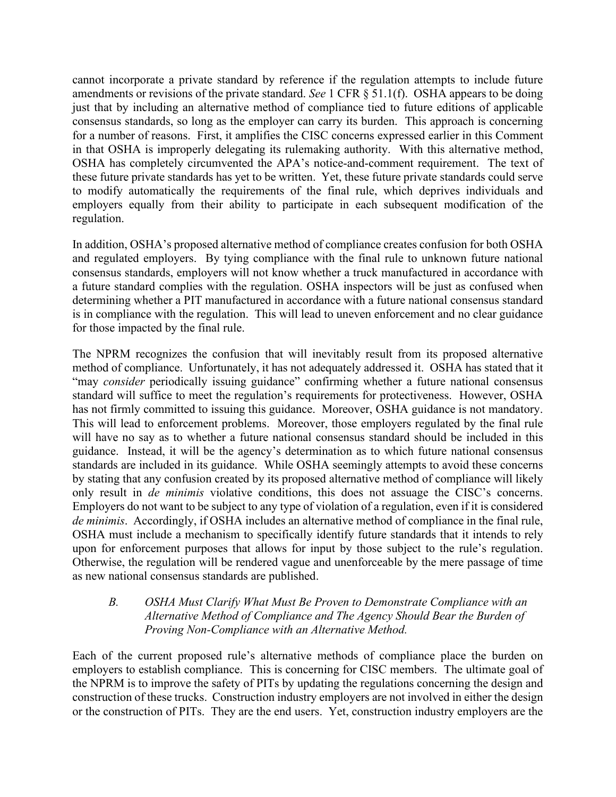cannot incorporate a private standard by reference if the regulation attempts to include future amendments or revisions of the private standard. *See* 1 CFR § 51.1(f). OSHA appears to be doing just that by including an alternative method of compliance tied to future editions of applicable consensus standards, so long as the employer can carry its burden. This approach is concerning for a number of reasons. First, it amplifies the CISC concerns expressed earlier in this Comment in that OSHA is improperly delegating its rulemaking authority. With this alternative method, OSHA has completely circumvented the APA's notice-and-comment requirement. The text of these future private standards has yet to be written. Yet, these future private standards could serve to modify automatically the requirements of the final rule, which deprives individuals and employers equally from their ability to participate in each subsequent modification of the regulation.

In addition, OSHA's proposed alternative method of compliance creates confusion for both OSHA and regulated employers. By tying compliance with the final rule to unknown future national consensus standards, employers will not know whether a truck manufactured in accordance with a future standard complies with the regulation. OSHA inspectors will be just as confused when determining whether a PIT manufactured in accordance with a future national consensus standard is in compliance with the regulation. This will lead to uneven enforcement and no clear guidance for those impacted by the final rule.

The NPRM recognizes the confusion that will inevitably result from its proposed alternative method of compliance. Unfortunately, it has not adequately addressed it. OSHA has stated that it "may *consider* periodically issuing guidance" confirming whether a future national consensus standard will suffice to meet the regulation's requirements for protectiveness. However, OSHA has not firmly committed to issuing this guidance. Moreover, OSHA guidance is not mandatory. This will lead to enforcement problems. Moreover, those employers regulated by the final rule will have no say as to whether a future national consensus standard should be included in this guidance. Instead, it will be the agency's determination as to which future national consensus standards are included in its guidance. While OSHA seemingly attempts to avoid these concerns by stating that any confusion created by its proposed alternative method of compliance will likely only result in *de minimis* violative conditions, this does not assuage the CISC's concerns. Employers do not want to be subject to any type of violation of a regulation, even if it is considered *de minimis*. Accordingly, if OSHA includes an alternative method of compliance in the final rule, OSHA must include a mechanism to specifically identify future standards that it intends to rely upon for enforcement purposes that allows for input by those subject to the rule's regulation. Otherwise, the regulation will be rendered vague and unenforceable by the mere passage of time as new national consensus standards are published.

### *B. OSHA Must Clarify What Must Be Proven to Demonstrate Compliance with an Alternative Method of Compliance and The Agency Should Bear the Burden of Proving Non-Compliance with an Alternative Method.*

Each of the current proposed rule's alternative methods of compliance place the burden on employers to establish compliance. This is concerning for CISC members. The ultimate goal of the NPRM is to improve the safety of PITs by updating the regulations concerning the design and construction of these trucks. Construction industry employers are not involved in either the design or the construction of PITs. They are the end users. Yet, construction industry employers are the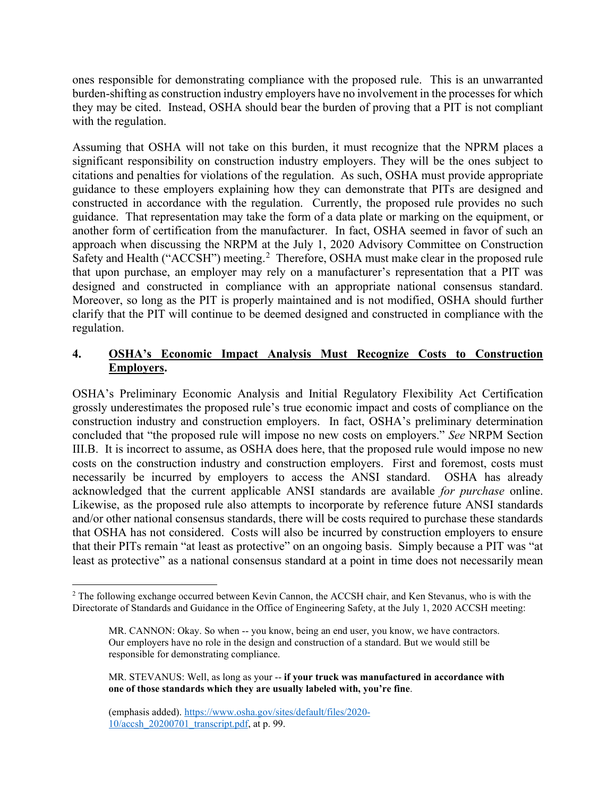ones responsible for demonstrating compliance with the proposed rule. This is an unwarranted burden-shifting as construction industry employers have no involvement in the processes for which they may be cited. Instead, OSHA should bear the burden of proving that a PIT is not compliant with the regulation.

Assuming that OSHA will not take on this burden, it must recognize that the NPRM places a significant responsibility on construction industry employers. They will be the ones subject to citations and penalties for violations of the regulation. As such, OSHA must provide appropriate guidance to these employers explaining how they can demonstrate that PITs are designed and constructed in accordance with the regulation. Currently, the proposed rule provides no such guidance. That representation may take the form of a data plate or marking on the equipment, or another form of certification from the manufacturer. In fact, OSHA seemed in favor of such an approach when discussing the NRPM at the July 1, 2020 Advisory Committee on Construction Safety and Health ("ACCSH") meeting.<sup>[2](#page-6-0)</sup> Therefore, OSHA must make clear in the proposed rule that upon purchase, an employer may rely on a manufacturer's representation that a PIT was designed and constructed in compliance with an appropriate national consensus standard. Moreover, so long as the PIT is properly maintained and is not modified, OSHA should further clarify that the PIT will continue to be deemed designed and constructed in compliance with the regulation.

# **4. OSHA's Economic Impact Analysis Must Recognize Costs to Construction Employers.**

OSHA's Preliminary Economic Analysis and Initial Regulatory Flexibility Act Certification grossly underestimates the proposed rule's true economic impact and costs of compliance on the construction industry and construction employers. In fact, OSHA's preliminary determination concluded that "the proposed rule will impose no new costs on employers." *See* NRPM Section III.B. It is incorrect to assume, as OSHA does here, that the proposed rule would impose no new costs on the construction industry and construction employers. First and foremost, costs must necessarily be incurred by employers to access the ANSI standard. OSHA has already acknowledged that the current applicable ANSI standards are available *for purchase* online. Likewise, as the proposed rule also attempts to incorporate by reference future ANSI standards and/or other national consensus standards, there will be costs required to purchase these standards that OSHA has not considered. Costs will also be incurred by construction employers to ensure that their PITs remain "at least as protective" on an ongoing basis. Simply because a PIT was "at least as protective" as a national consensus standard at a point in time does not necessarily mean

<span id="page-6-0"></span><sup>&</sup>lt;sup>2</sup> The following exchange occurred between Kevin Cannon, the ACCSH chair, and Ken Stevanus, who is with the Directorate of Standards and Guidance in the Office of Engineering Safety, at the July 1, 2020 ACCSH meeting:

MR. CANNON: Okay. So when -- you know, being an end user, you know, we have contractors. Our employers have no role in the design and construction of a standard. But we would still be responsible for demonstrating compliance.

MR. STEVANUS: Well, as long as your -- **if your truck was manufactured in accordance with one of those standards which they are usually labeled with, you're fine**.